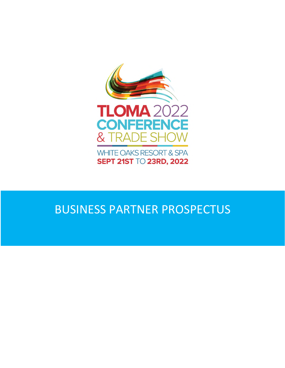

**WHITE OAKS RESORT & SPA SEPT 21ST TO 23RD, 2022** 

# BUSINESS PARTNER PROSPECTUS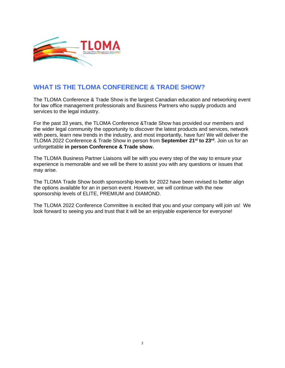

#### **WHAT IS THE TLOMA CONFERENCE & TRADE SHOW?**

The TLOMA Conference & Trade Show is the largest Canadian education and networking event for law office management professionals and Business Partners who supply products and services to the legal industry.

For the past 33 years, the TLOMA Conference &Trade Show has provided our members and the wider legal community the opportunity to discover the latest products and services, network with peers, learn new trends in the industry, and most importantly, have fun! We will deliver the TLOMA 2022 Conference & Trade Show in person from **September 21st to 23rd**. Join us for an unforgettable **in person Conference & Trade show.**

The TLOMA Business Partner Liaisons will be with you every step of the way to ensure your experience is memorable and we will be there to assist you with any questions or issues that may arise.

The TLOMA Trade Show booth sponsorship levels for 2022 have been revised to better align the options available for an in person event. However, we will continue with the new sponsorship levels of ELITE, PREMIUM and DIAMOND.

The TLOMA 2022 Conference Committee is excited that you and your company will join us! We look forward to seeing you and trust that it will be an enjoyable experience for everyone!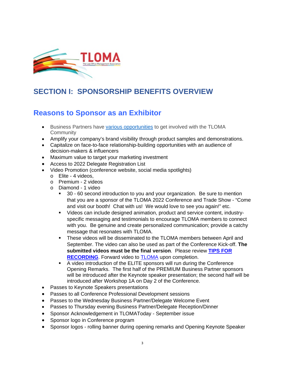

### **SECTION I: SPONSORSHIP BENEFITS OVERVIEW**

#### **Reasons to Sponsor as an Exhibitor**

- Business Partners have [various opportunities](https://www.tloma.com/business-partners/become-a-business-partner) to get involved with the TLOMA **Community**
- Amplify your company's brand visibility through product samples and demonstrations.
- Capitalize on face-to-face relationship-building opportunities with an audience of decision-makers & influencers
- Maximum value to target your marketing investment
- Access to 2022 Delegate Registration List
- Video Promotion (conference website, social media spotlights)
	- o Elite 4 videos,
	- o Premium 2 videos
	- o Diamond 1 video
		- 30 60 second introduction to you and your organization. Be sure to mention that you are a sponsor of the TLOMA 2022 Conference and Trade Show - "Come and visit our booth! Chat with us! We would love to see you again!" etc.
		- Videos can include designed animation, product and service content, industryspecific messaging and testimonials to encourage TLOMA members to connect with you. Be genuine and create personalized communication; provide a catchy message that resonates with TLOMA.
		- **These videos will be disseminated to the TLOMA members between April and** September. The video can also be used as part of the Conference Kick-off. **The submitted videos must be the final version**. Please review **[TIPS FOR](https://www.tloma.com/docs/default-source/2020-conference/tips-for-recording.pdf?sfvrsn=9c7ab661_2)  [RECORDING](https://www.tloma.com/docs/default-source/2020-conference/tips-for-recording.pdf?sfvrsn=9c7ab661_2)**. Forward video to [TLOMA](mailto:kgerhardt@tloma.com) upon completion.
		- A video introduction of the ELITE sponsors will run during the Conference Opening Remarks. The first half of the PREMIUM Business Partner sponsors will be introduced after the Keynote speaker presentation; the second half will be introduced after Workshop 1A on Day 2 of the Conference.
- Passes to Keynote Speakers presentations
- Passes to all Conference Professional Development sessions
- Passes to the Wednesday Business Partner/Delegate Welcome Event
- Passes to Thursday evening Business Partner/Delegate Reception/Dinner
- Sponsor Acknowledgement in TLOMAToday September issue
- Sponsor logo in Conference program
- Sponsor logos rolling banner during opening remarks and Opening Keynote Speaker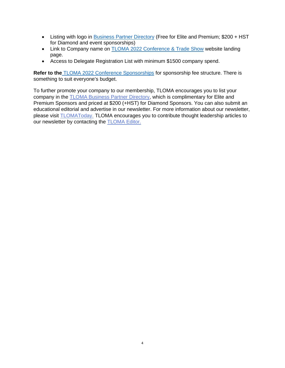- Listing with logo in **Business Partner Directory** (Free for Elite and Premium; \$200 + HST for Diamond and event sponsorships)
- Link to Company name on [TLOMA 2022 Conference & Trade Show](https://www.tloma.com/conferences/2022/business-partners/conference-business-partners) website landing page.
- Access to Delegate Registration List with minimum \$1500 company spend.

**Refer to the** [TLOMA 2022 Conference Sponsorships](https://www.tloma.com/docs/default-source/2022-conference/tloma-2022-conference-sponsorship-options9a7ed7038cbc63aa9f5bff0000825cc8.pdf?sfvrsn=e7c2b461_0) for sponsorship fee structure. There is something to suit everyone's budget.

To further promote your company to our membership, TLOMA encourages you to list your company in the [TLOMA Business Partner Directory,](https://www.tloma.com/business-partners/business-partner-directory) which is complimentary for Elite and Premium Sponsors and priced at \$200 (+HST) for Diamond Sponsors. You can also submit an educational editorial and advertise in our newsletter. For more information about our newsletter, please visit [TLOMAToday.](https://www.tloma.com/tloma-today/contribute-to-tloma-today) TLOMA encourages you to contribute thought leadership articles to our newsletter by contacting the **[TLOMA Editor.](mailto:rand.bilal@millsandmills.ca)**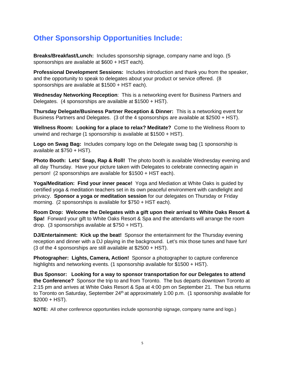#### **Other Sponsorship Opportunities Include:**

**Breaks/Breakfast/Lunch:** Includes sponsorship signage, company name and logo. (5 sponsorships are available at \$600 + HST each).

**Professional Development Sessions:** Includes introduction and thank you from the speaker, and the opportunity to speak to delegates about your product or service offered. (8 sponsorships are available at \$1500 + HST each).

**Wednesday Networking Reception**: This is a networking event for Business Partners and Delegates. (4 sponsorships are available at \$1500 + HST).

**Thursday Delegate/Business Partner Reception & Dinner:** This is a networking event for Business Partners and Delegates. (3 of the 4 sponsorships are available at \$2500 + HST).

**Wellness Room: Looking for a place to relax? Meditate?** Come to the Wellness Room to unwind and recharge (1 sponsorship is available at \$1500 + HST).

**Logo on Swag Bag:** Includes company logo on the Delegate swag bag (1 sponsorship is available at \$750 + HST).

**Photo Booth: Lets' Snap, Rap & Roll!** The photo booth is available Wednesday evening and all day Thursday. Have your picture taken with Delegates to celebrate connecting again in person! (2 sponsorships are available for \$1500 + HST each).

**Yoga/Meditation: Find your inner peace!** Yoga and Mediation at White Oaks is guided by certified yoga & meditation teachers set in its own peaceful environment with candlelight and privacy. **Sponsor a yoga or meditation session** for our delegates on Thursday or Friday morning. (2 sponsorships is available for \$750 + HST each).

**Room Drop: Welcome the Delegates with a gift upon their arrival to White Oaks Resort & Spa!** Forward your gift to White Oaks Resort & Spa and the attendants will arrange the room drop. (3 sponsorships available at \$750 + HST).

**DJ/Entertainment: Kick up the beat!** Sponsor the entertainment for the Thursday evening reception and dinner with a DJ playing in the background. Let's mix those tunes and have fun! (3 of the 4 sponsorships are still available at \$2500 + HST).

**Photographer: Lights, Camera, Action!** Sponsor a photographer to capture conference highlights and networking events. (1 sponsorship available for \$1500 + HST).

**Bus Sponsor: Looking for a way to sponsor transportation for our Delegates to attend the Conference?** Sponsor the trip to and from Toronto. The bus departs downtown Toronto at 2:15 pm and arrives at White Oaks Resort & Spa at 4:00 pm on September 21. The bus returns to Toronto on Saturday, September 24<sup>th</sup> at approximately 1:00 p.m. (1 sponsorship available for  $$2000 + HST$ ).

**NOTE:** All other conference opportunities include sponsorship signage, company name and logo.)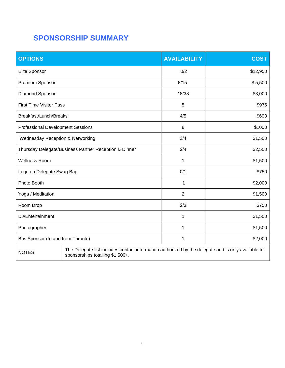## **SPONSORSHIP SUMMARY**

| <b>OPTIONS</b>                                        |                                                                                                                                         | <b>AVAILABILITY</b> | <b>COST</b> |  |
|-------------------------------------------------------|-----------------------------------------------------------------------------------------------------------------------------------------|---------------------|-------------|--|
| <b>Elite Sponsor</b>                                  |                                                                                                                                         | 0/2                 | \$12,950    |  |
| Premium Sponsor                                       |                                                                                                                                         | 8/15                | \$5,500     |  |
| Diamond Sponsor                                       |                                                                                                                                         | 18/38               | \$3,000     |  |
| <b>First Time Visitor Pass</b>                        |                                                                                                                                         | 5                   | \$975       |  |
| Breakfast/Lunch/Breaks                                |                                                                                                                                         | 4/5                 | \$600       |  |
| <b>Professional Development Sessions</b>              |                                                                                                                                         | 8                   | \$1000      |  |
| Wednesday Reception & Networking                      |                                                                                                                                         | 3/4<br>\$1,500      |             |  |
| Thursday Delegate/Business Partner Reception & Dinner |                                                                                                                                         | 2/4                 | \$2,500     |  |
| <b>Wellness Room</b>                                  |                                                                                                                                         | 1                   | \$1,500     |  |
| Logo on Delegate Swag Bag                             |                                                                                                                                         | 0/1                 | \$750       |  |
| Photo Booth                                           |                                                                                                                                         | 1<br>\$2,000        |             |  |
| Yoga / Meditation                                     |                                                                                                                                         | $\overline{2}$      | \$1,500     |  |
| Room Drop                                             |                                                                                                                                         | 2/3                 | \$750       |  |
| DJ/Entertainment                                      |                                                                                                                                         | 1                   | \$1,500     |  |
| Photographer                                          |                                                                                                                                         | 1                   | \$1,500     |  |
| Bus Sponsor (to and from Toronto)                     |                                                                                                                                         | 1                   | \$2,000     |  |
| <b>NOTES</b>                                          | The Delegate list includes contact information authorized by the delegate and is only available for<br>sponsorships totalling \$1,500+. |                     |             |  |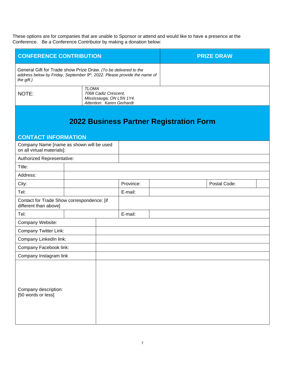These options are for companies that are unable to Sponsor or attend and would like to have a presence at the Conference. Be a Conference Contributor by making a donation below:

| <b>CONFERENCE CONTRIBUTION</b>                                                                                                                            |                                                                                               |  |           | <b>PRIZE DRAW</b> |                                                |              |  |
|-----------------------------------------------------------------------------------------------------------------------------------------------------------|-----------------------------------------------------------------------------------------------|--|-----------|-------------------|------------------------------------------------|--------------|--|
| General Gift for Trade show Prize Draw. (To be delivered to the<br>address below by Friday, September 9th, 2022. Please provide the name of<br>the gift.) |                                                                                               |  |           |                   |                                                |              |  |
| NOTE:                                                                                                                                                     | <b>TLOMA</b><br>7068 Cadiz Crescent,<br>Mississauga, ON L5N 1Y4.<br>Attention: Karen Gerhardt |  |           |                   |                                                |              |  |
|                                                                                                                                                           |                                                                                               |  |           |                   | <b>2022 Business Partner Registration Form</b> |              |  |
| <b>CONTACT INFORMATION</b><br>Company Name [name as shown will be used                                                                                    |                                                                                               |  |           |                   |                                                |              |  |
| on all virtual materials]:                                                                                                                                |                                                                                               |  |           |                   |                                                |              |  |
| Authorized Representative:                                                                                                                                |                                                                                               |  |           |                   |                                                |              |  |
| Title:                                                                                                                                                    |                                                                                               |  |           |                   |                                                |              |  |
| Address:                                                                                                                                                  |                                                                                               |  |           |                   |                                                |              |  |
| City:                                                                                                                                                     |                                                                                               |  | Province: |                   |                                                | Postal Code: |  |
| Tel:                                                                                                                                                      |                                                                                               |  | E-mail:   |                   |                                                |              |  |
| Contact for Trade Show correspondence: [if<br>different than above]                                                                                       |                                                                                               |  |           |                   |                                                |              |  |
| Tel:                                                                                                                                                      |                                                                                               |  | E-mail:   |                   |                                                |              |  |
| Company Website:                                                                                                                                          |                                                                                               |  |           |                   |                                                |              |  |
| <b>Company Twitter Link:</b>                                                                                                                              |                                                                                               |  |           |                   |                                                |              |  |
| Company LinkedIn link:                                                                                                                                    |                                                                                               |  |           |                   |                                                |              |  |
| Company Facebook link:                                                                                                                                    |                                                                                               |  |           |                   |                                                |              |  |
| Company Instagram link                                                                                                                                    |                                                                                               |  |           |                   |                                                |              |  |
| Company description:<br>[50 words or less]                                                                                                                |                                                                                               |  |           |                   |                                                |              |  |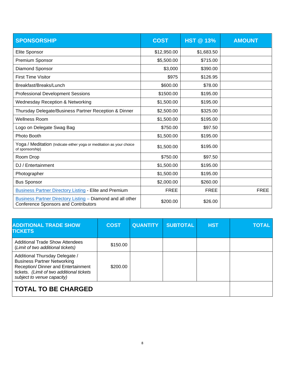| <b>SPONSORSHIP</b>                                                                                        | <b>COST</b> | <b>HST @ 13%</b> | <b>AMOUNT</b> |
|-----------------------------------------------------------------------------------------------------------|-------------|------------------|---------------|
| Elite Sponsor                                                                                             | \$12,950.00 | \$1,683.50       |               |
| Premium Sponsor                                                                                           | \$5,500.00  | \$715.00         |               |
| Diamond Sponsor                                                                                           | \$3,000     | \$390.00         |               |
| <b>First Time Visitor</b>                                                                                 | \$975       | \$126.95         |               |
| Breakfast/Breaks/Lunch                                                                                    | \$600.00    | \$78.00          |               |
| <b>Professional Development Sessions</b>                                                                  | \$1500.00   | \$195.00         |               |
| <b>Wednesday Reception &amp; Networking</b>                                                               | \$1,500.00  | \$195.00         |               |
| Thursday Delegate/Business Partner Reception & Dinner                                                     | \$2,500.00  | \$325.00         |               |
| <b>Wellness Room</b>                                                                                      | \$1,500.00  | \$195.00         |               |
| Logo on Delegate Swag Bag                                                                                 | \$750.00    | \$97.50          |               |
| Photo Booth                                                                                               | \$1,500.00  | \$195.00         |               |
| Yoga / Meditation (Indicate either yoga or meditation as your choice<br>of sponsorship)                   | \$1,500.00  | \$195.00         |               |
| Room Drop                                                                                                 | \$750.00    | \$97.50          |               |
| DJ / Entertainment                                                                                        | \$1,500.00  | \$195.00         |               |
| Photographer                                                                                              | \$1,500.00  | \$195.00         |               |
| <b>Bus Sponsor</b>                                                                                        | \$2,000.00  | \$260.00         |               |
| <b>Business Partner Directory Listing - Elite and Premium</b>                                             | <b>FREE</b> | <b>FREE</b>      | <b>FREE</b>   |
| Business Partner Directory Listing - Diamond and all other<br><b>Conference Sponsors and Contributors</b> | \$200.00    | \$26.00          |               |

| <b>ADDITIONAL TRADE SHOW</b><br><b>TICKETS</b>                                                                                                                                         | <b>COST</b> | <b>QUANTITY</b> | <b>SUBTOTAL</b> | <b>HST</b> | <b>TOTAL</b> |
|----------------------------------------------------------------------------------------------------------------------------------------------------------------------------------------|-------------|-----------------|-----------------|------------|--------------|
| <b>Additional Trade Show Attendees</b><br>(Limit of two additional tickets)                                                                                                            | \$150.00    |                 |                 |            |              |
| Additional Thursday Delegate /<br><b>Business Partner Networking</b><br>Reception/ Dinner and Entertainment<br>tickets. (Limit of two additional tickets<br>subject to venue capacity) | \$200.00    |                 |                 |            |              |
| <b>TOTAL TO BE CHARGED</b>                                                                                                                                                             |             |                 |                 |            |              |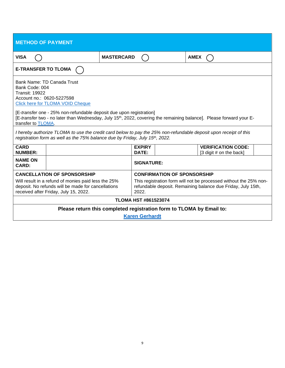| <b>METHOD OF PAYMENT</b>                                                                                                                                                                                                                                                                                                                                                       |  |                                                                                                                                            |                                    |  |             |                                                      |  |  |
|--------------------------------------------------------------------------------------------------------------------------------------------------------------------------------------------------------------------------------------------------------------------------------------------------------------------------------------------------------------------------------|--|--------------------------------------------------------------------------------------------------------------------------------------------|------------------------------------|--|-------------|------------------------------------------------------|--|--|
| <b>VISA</b>                                                                                                                                                                                                                                                                                                                                                                    |  | <b>MASTERCARD</b>                                                                                                                          |                                    |  | <b>AMEX</b> |                                                      |  |  |
| <b>E-TRANSFER TO TLOMA</b>                                                                                                                                                                                                                                                                                                                                                     |  |                                                                                                                                            |                                    |  |             |                                                      |  |  |
| Bank Name: TD Canada Trust<br>Bank Code: 004<br><b>Transit: 19922</b><br>Account no.: 0620-5227598<br><b>Click here for TLOMA VOID Cheque</b><br>[E-transfer one - 25% non-refundable deposit due upon registration]<br>[E-transfer two - no later than Wednesday, July 15 <sup>th</sup> , 2022, covering the remaining balance]. Please forward your E-<br>transfer to TLOMA. |  |                                                                                                                                            |                                    |  |             |                                                      |  |  |
| I hereby authorize TLOMA to use the credit card below to pay the 25% non-refundable deposit upon receipt of this<br>registration form as well as the 75% balance due by Friday, July 15th, 2022.                                                                                                                                                                               |  |                                                                                                                                            |                                    |  |             |                                                      |  |  |
| <b>CARD</b><br><b>NUMBER:</b>                                                                                                                                                                                                                                                                                                                                                  |  |                                                                                                                                            | <b>EXPIRY</b><br>DATE:             |  |             | <b>VERIFICATION CODE:</b><br>[3 digit # on the back] |  |  |
| <b>NAME ON</b><br><b>CARD:</b>                                                                                                                                                                                                                                                                                                                                                 |  |                                                                                                                                            | <b>SIGNATURE:</b>                  |  |             |                                                      |  |  |
| <b>CANCELLATION OF SPONSORSHIP</b>                                                                                                                                                                                                                                                                                                                                             |  |                                                                                                                                            | <b>CONFIRMATION OF SPONSORSHIP</b> |  |             |                                                      |  |  |
| Will result in a refund of monies paid less the 25%<br>deposit. No refunds will be made for cancellations<br>received after Friday, July 15, 2022.                                                                                                                                                                                                                             |  | This registration form will not be processed without the 25% non-<br>refundable deposit. Remaining balance due Friday, July 15th,<br>2022. |                                    |  |             |                                                      |  |  |
| <b>TLOMA HST #861523074</b>                                                                                                                                                                                                                                                                                                                                                    |  |                                                                                                                                            |                                    |  |             |                                                      |  |  |
| Please return this completed registration form to TLOMA by Email to:                                                                                                                                                                                                                                                                                                           |  |                                                                                                                                            |                                    |  |             |                                                      |  |  |
| <b>Karen Gerhardt</b>                                                                                                                                                                                                                                                                                                                                                          |  |                                                                                                                                            |                                    |  |             |                                                      |  |  |